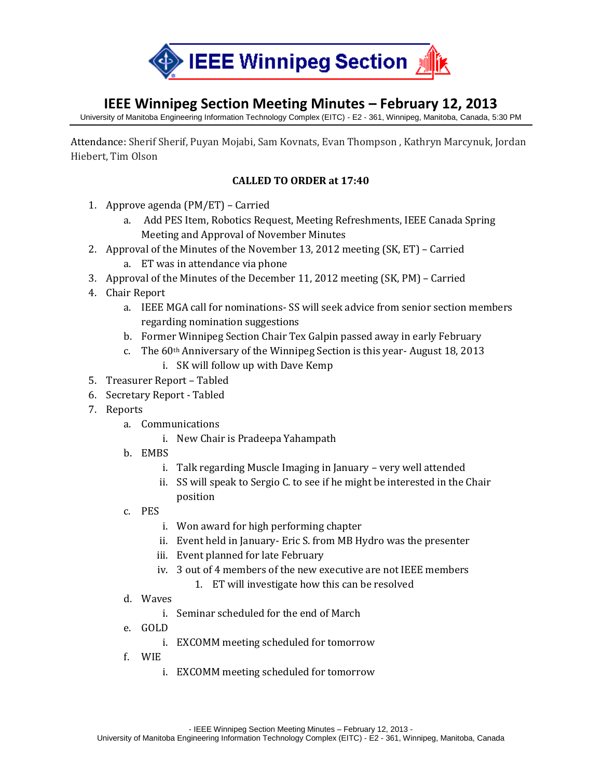

## **IEEE Winnipeg Section Meeting Minutes – February 12, 2013**

University of Manitoba Engineering Information Technology Complex (EITC) - E2 - 361, Winnipeg, Manitoba, Canada, 5:30 PM

Attendance: Sherif Sherif, Puyan Mojabi, Sam Kovnats, Evan Thompson , Kathryn Marcynuk, Jordan Hiebert, Tim Olson

## **CALLED TO ORDER at 17:40**

- 1. Approve agenda (PM/ET) Carried
	- a. Add PES Item, Robotics Request, Meeting Refreshments, IEEE Canada Spring Meeting and Approval of November Minutes
- 2. Approval of the Minutes of the November 13, 2012 meeting (SK, ET) Carried
	- a. ET was in attendance via phone
- 3. Approval of the Minutes of the December 11, 2012 meeting (SK, PM) Carried
- 4. Chair Report
	- a. IEEE MGA call for nominations- SS will seek advice from senior section members regarding nomination suggestions
	- b. Former Winnipeg Section Chair Tex Galpin passed away in early February
	- c. The 60th Anniversary of the Winnipeg Section is this year- August 18, 2013 i. SK will follow up with Dave Kemp
- 5. Treasurer Report Tabled
- 6. Secretary Report Tabled
- 7. Reports
	- a. Communications
		- i. New Chair is Pradeepa Yahampath
	- b. EMBS
		- i. Talk regarding Muscle Imaging in January very well attended
		- ii. SS will speak to Sergio C. to see if he might be interested in the Chair position
	- c. PES
		- i. Won award for high performing chapter
		- ii. Event held in January- Eric S. from MB Hydro was the presenter
		- iii. Event planned for late February
		- iv. 3 out of 4 members of the new executive are not IEEE members
			- 1. ET will investigate how this can be resolved
	- d. Waves
		- i. Seminar scheduled for the end of March
	- e. GOLD
		- i. EXCOMM meeting scheduled for tomorrow
	- f. WIE
		- i. EXCOMM meeting scheduled for tomorrow